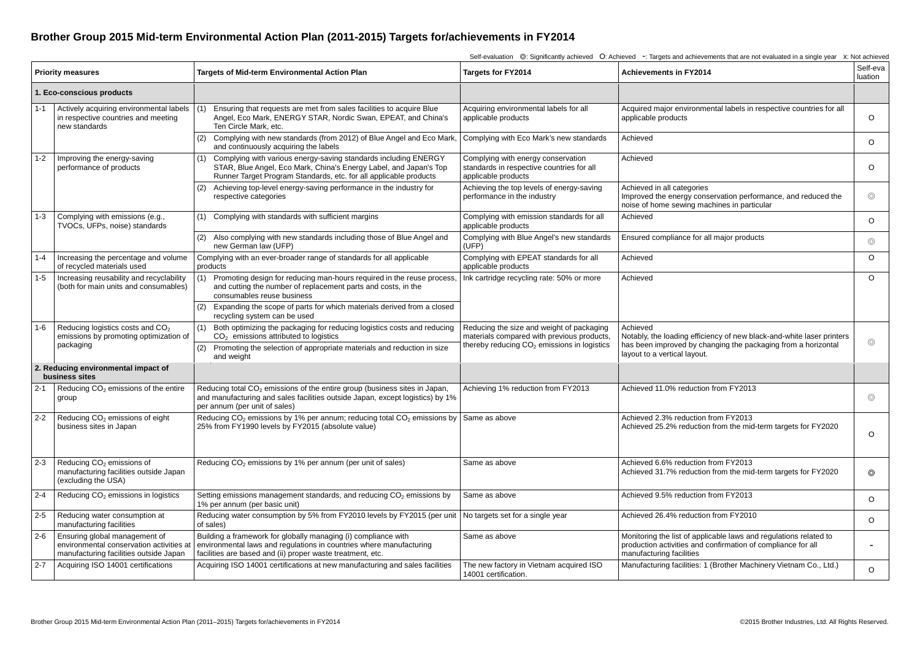## **Brother Group 2015 Mid-term Environmental Action Plan (2011-2015) Targets for/achievements in FY2014**

**Priority measures Targets of Mid-term Environmental Action Plan Targets for FY2014 Achievements in FY2014** Self-eva luation **1. Eco-conscious products** 1-1 Actively acquiring environmental labels in respective countries and meeting new standards (1) Ensuring that requests are met from sales facilities to acquire Blue Angel, Eco Mark, ENERGY STAR, Nordic Swan, EPEAT, and China's Ten Circle Mark, etc. Acquiring environmental labels for all applicable products Acquired major environmental labels in respective countries for all applicable products O (2) Complying with new standards (from 2012) of Blue Angel and Eco Mark, and continuously acquiring the labels Complying with Eco Mark's new standards Achieved Achieved Achieved Complying with Eco Mark's new standards Achieved 1-2 | Improving the energy-saving performance of products (1) Complying with various energy-saving standards including ENERGY STAR, Blue Angel, Eco Mark, China's Energy Label, and Japan's Top Runner Target Program Standards, etc. for all applicable products Complying with energy conservation standards in respective countries for all applicable products Achieved O (2) Achieving top-level energy-saving performance in the industry for respective categories Achieving the top levels of energy-saving performance in the industry Achieved in all categories Improved the energy conservation performance, and reduced the noise of home sewing machines in particular  $\odot$ 1-3 Complying with emissions (e.g., TVOCs, UFPs, noise) standards (1) Complying with standards with sufficient margins Complying with emission standards for all applicable products Achieved **O** (2) Also complying with new standards including those of Blue Angel and new German law (UFP) Complying with Blue Angel's new standards (UFP) Ensured compliance for all major products **in the set of the contract of the contract of the contract of the contract of the contract of the contract of the contract of the contract of the contract of the contract of the c** 1-4 Increasing the percentage and volume of recycled materials used Complying with an ever-broader range of standards for all applicable products Complying with EPEAT standards for all applicable products Achieved O 1-5 | Increasing reusability and recyclability (both for main units and consumables) (1) Promoting design for reducing man-hours required in the reuse process, and cutting the number of replacement parts and costs, in the consumables reuse business Ink cartridge recycling rate: 50% or more Achieved **O O** (2) Expanding the scope of parts for which materials derived from a closed recycling system can be used 1-6 Reducing logistics costs and  $CO<sub>2</sub>$ emissions by promoting optimization of packaging (1) Both optimizing the packaging for reducing logistics costs and reducing  $CO<sub>2</sub>$  emissions attributed to logistics Reducing the size and weight of packaging materials compared with previous products, thereby reducing  $CO<sub>2</sub>$  emissions in logistics Achieved Notably, the loading efficiency of new black-and-white laser printers has been improved by changing the packaging from a horizontal layout to a vertical layout. <u>CO<sub>2</sub></u> emissions attributed to logistics<br>(2) Promoting the selection of appropriate materials and reduction in size thereby reducing CO<sub>2</sub> emissions in logistics has been improved by changing the packaging from a horizont and weight **2. Reducing environmental impact of business sites** 2-1 Reducing  $CO<sub>2</sub>$  emissions of the entire group Reducing total CO<sub>2</sub> emissions of the entire group (business sites in Japan, and manufacturing and sales facilities outside Japan, except logistics) by 1% per annum (per unit of sales) Achieving 1% reduction from FY2013 Achieved 11.0% reduction from FY2013  $\odot$ 2-2 Reducing  $CO<sub>2</sub>$  emissions of eight business sites in Japan Reducing CO<sub>2</sub> emissions by 1% per annum; reducing total CO<sub>2</sub> emissions by Same as above 25% from FY1990 levels by FY2015 (absolute value) Achieved 2.3% reduction from FY2013 Achieved 25.2% reduction from the mid-term targets for FY2020 O 2-3 Reducing  $CO<sub>2</sub>$  emissions of manufacturing facilities outside Japan (excluding the USA) Reducing CO<sub>2</sub> emissions by 1% per annum (per unit of sales) Same as above Achieved 6.6% reduction from FY2013 Achieved 31.7% reduction from the mid-term targets for FY2020 **6** 2-4 Reducing  $CO<sub>2</sub>$  emissions in logistics Setting emissions management standards, and reducing  $CO<sub>2</sub>$  emissions by 1% per annum (per basic unit) Same as above  $\overline{\phantom{a}}$  Achieved 9.5% reduction from FY2013  $\overline{\phantom{a}}$ 2-5 Reducing water consumption at manufacturing facilities Reducing water consumption by 5% from FY2010 levels by FY2015 (per unit of sales) No targets set for a single year Achieved 26.4% reduction from FY2010 O 2-6 Ensuring global management of environmental conservation activities at Building a framework for globally managing (i) compliance with environmental laws and regulations in countries where manufacturing Same as above Same as above Monitoring the list of applicable laws and regulations related to production activities and confirmation of compliance for all -

14001 certification.

Self-evaluation ◎: Significantly achieved O: Achieved -: Targets and achievements that are not evaluated in a single year x: Not achieved

manufacturing facilities

facilities are based and (ii) proper waste treatment, etc.

2-7 Acquiring ISO 14001 certifications | Acquiring ISO 14001 certifications at new manufacturing and sales facilities | The new factory in Vietnam acquired ISO

manufacturing facilities outside Japan

Manufacturing facilities: 1 (Brother Machinery Vietnam Co., Ltd.)  $\bigcap$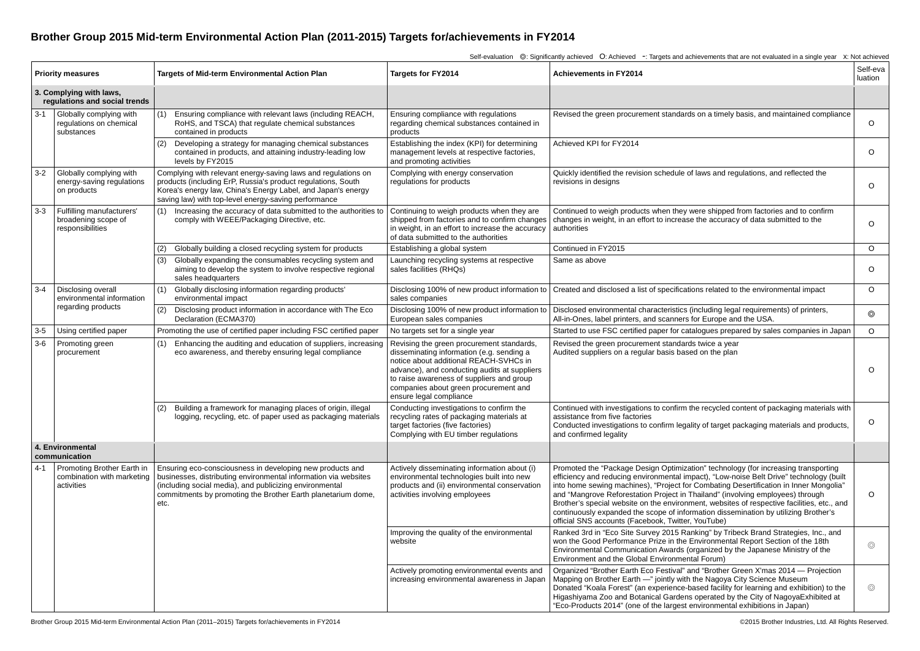## **Brother Group 2015 Mid-term Environmental Action Plan (2011-2015) Targets for/achievements in FY2014**

Self-evaluation ◎: Significantly achieved O: Achieved -: Targets and achievements that are not evaluated in a single year x: Not achieved

| <b>Priority measures</b>                                 |                                                                        | Targets of Mid-term Environmental Action Plan                                                                                                                                                                                                                   | Targets for FY2014                                                                                                                                                                                                                                                                                | <b>Achievements in FY2014</b>                                                                                                                                                                                                                                                                                                                                                                                                                                                                                                                                                                       | Self-eva<br>luation |
|----------------------------------------------------------|------------------------------------------------------------------------|-----------------------------------------------------------------------------------------------------------------------------------------------------------------------------------------------------------------------------------------------------------------|---------------------------------------------------------------------------------------------------------------------------------------------------------------------------------------------------------------------------------------------------------------------------------------------------|-----------------------------------------------------------------------------------------------------------------------------------------------------------------------------------------------------------------------------------------------------------------------------------------------------------------------------------------------------------------------------------------------------------------------------------------------------------------------------------------------------------------------------------------------------------------------------------------------------|---------------------|
| 3. Complying with laws.<br>regulations and social trends |                                                                        |                                                                                                                                                                                                                                                                 |                                                                                                                                                                                                                                                                                                   |                                                                                                                                                                                                                                                                                                                                                                                                                                                                                                                                                                                                     |                     |
| $3 - 1$                                                  | Globally complying with<br>regulations on chemical<br>substances       | Ensuring compliance with relevant laws (including REACH,<br>(1)<br>RoHS, and TSCA) that regulate chemical substances<br>contained in products                                                                                                                   | Ensuring compliance with regulations<br>regarding chemical substances contained in<br>products                                                                                                                                                                                                    | Revised the green procurement standards on a timely basis, and maintained compliance                                                                                                                                                                                                                                                                                                                                                                                                                                                                                                                | $\circ$             |
|                                                          |                                                                        | (2)<br>Developing a strategy for managing chemical substances<br>contained in products, and attaining industry-leading low<br>levels by FY2015                                                                                                                  | Establishing the index (KPI) for determining<br>management levels at respective factories,<br>and promoting activities                                                                                                                                                                            | Achieved KPI for FY2014                                                                                                                                                                                                                                                                                                                                                                                                                                                                                                                                                                             | $\circ$             |
| $3 - 2$                                                  | Globally complying with<br>energy-saving regulations<br>on products    | Complying with relevant energy-saving laws and regulations on<br>products (including ErP, Russia's product regulations, South<br>Korea's energy law, China's Energy Label, and Japan's energy<br>saving law) with top-level energy-saving performance           | Complying with energy conservation<br>regulations for products                                                                                                                                                                                                                                    | Quickly identified the revision schedule of laws and regulations, and reflected the<br>revisions in designs                                                                                                                                                                                                                                                                                                                                                                                                                                                                                         | $\circ$             |
| $3 - 3$                                                  | Fulfilling manufacturers'<br>broadening scope of<br>responsibilities   | Increasing the accuracy of data submitted to the authorities to<br>(1)<br>comply with WEEE/Packaging Directive, etc.                                                                                                                                            | Continuing to weigh products when they are<br>shipped from factories and to confirm changes<br>in weight, in an effort to increase the accuracy $\vert$ authorities<br>of data submitted to the authorities                                                                                       | Continued to weigh products when they were shipped from factories and to confirm<br>changes in weight, in an effort to increase the accuracy of data submitted to the                                                                                                                                                                                                                                                                                                                                                                                                                               | $\circ$             |
|                                                          |                                                                        | Globally building a closed recycling system for products<br>(2)                                                                                                                                                                                                 | Establishing a global system                                                                                                                                                                                                                                                                      | Continued in FY2015                                                                                                                                                                                                                                                                                                                                                                                                                                                                                                                                                                                 | $\circ$             |
|                                                          |                                                                        | Globally expanding the consumables recycling system and<br>(3)<br>aiming to develop the system to involve respective regional<br>sales headquarters                                                                                                             | Launching recycling systems at respective<br>sales facilities (RHQs)                                                                                                                                                                                                                              | Same as above                                                                                                                                                                                                                                                                                                                                                                                                                                                                                                                                                                                       | $\circ$             |
| $3 - 4$                                                  | Disclosing overall<br>environmental information<br>regarding products  | (1)<br>Globally disclosing information regarding products'<br>environmental impact                                                                                                                                                                              | sales companies                                                                                                                                                                                                                                                                                   | Disclosing 100% of new product information to   Created and disclosed a list of specifications related to the environmental impact                                                                                                                                                                                                                                                                                                                                                                                                                                                                  | $\circ$             |
|                                                          |                                                                        | (2)<br>Disclosing product information in accordance with The Eco<br>Declaration (ECMA370)                                                                                                                                                                       | Disclosing 100% of new product information to<br>European sales companies                                                                                                                                                                                                                         | Disclosed environmental characteristics (including legal requirements) of printers,<br>All-in-Ones, label printers, and scanners for Europe and the USA.                                                                                                                                                                                                                                                                                                                                                                                                                                            | $\circledcirc$      |
| $3-5$                                                    | Using certified paper                                                  | Promoting the use of certified paper including FSC certified paper                                                                                                                                                                                              | No targets set for a single year                                                                                                                                                                                                                                                                  | Started to use FSC certified paper for catalogues prepared by sales companies in Japan                                                                                                                                                                                                                                                                                                                                                                                                                                                                                                              | $\circ$             |
| $3-6$                                                    | Promoting green<br>procurement                                         | Enhancing the auditing and education of suppliers, increasing<br>(1)<br>eco awareness, and thereby ensuring legal compliance                                                                                                                                    | Revising the green procurement standards,<br>disseminating information (e.g. sending a<br>notice about additional REACH-SVHCs in<br>advance), and conducting audits at suppliers<br>to raise awareness of suppliers and group<br>companies about green procurement and<br>ensure legal compliance | Revised the green procurement standards twice a year<br>Audited suppliers on a regular basis based on the plan                                                                                                                                                                                                                                                                                                                                                                                                                                                                                      | $\circ$             |
|                                                          |                                                                        | Building a framework for managing places of origin, illegal<br>(2)<br>logging, recycling, etc. of paper used as packaging materials                                                                                                                             | Conducting investigations to confirm the<br>recycling rates of packaging materials at<br>target factories (five factories)<br>Complying with EU timber regulations                                                                                                                                | Continued with investigations to confirm the recycled content of packaging materials with<br>assistance from five factories<br>Conducted investigations to confirm legality of target packaging materials and products,<br>and confirmed legality                                                                                                                                                                                                                                                                                                                                                   | $\circ$             |
| 4. Environmental<br>communication                        |                                                                        |                                                                                                                                                                                                                                                                 |                                                                                                                                                                                                                                                                                                   |                                                                                                                                                                                                                                                                                                                                                                                                                                                                                                                                                                                                     |                     |
| $4 - 1$                                                  | Promoting Brother Earth in<br>combination with marketing<br>activities | Ensuring eco-consciousness in developing new products and<br>businesses, distributing environmental information via websites<br>(including social media), and publicizing environmental<br>commitments by promoting the Brother Earth planetarium dome,<br>etc. | Actively disseminating information about (i)<br>environmental technologies built into new<br>products and (ii) environmental conservation<br>activities involving employees                                                                                                                       | Promoted the "Package Design Optimization" technology (for increasing transporting<br>efficiency and reducing environmental impact), "Low-noise Belt Drive" technology (built<br>into home sewing machines), "Project for Combating Desertification in Inner Mongolia"<br>and "Mangrove Reforestation Project in Thailand" (involving employees) through<br>Brother's special website on the environment, websites of respective facilities, etc., and<br>continuously expanded the scope of information dissemination by utilizing Brother's<br>official SNS accounts (Facebook, Twitter, YouTube) | $\circ$             |
|                                                          |                                                                        |                                                                                                                                                                                                                                                                 | Improving the quality of the environmental<br>website                                                                                                                                                                                                                                             | Ranked 3rd in "Eco Site Survey 2015 Ranking" by Tribeck Brand Strategies, Inc., and<br>won the Good Performance Prize in the Environmental Report Section of the 18th<br>Environmental Communication Awards (organized by the Japanese Ministry of the<br>Environment and the Global Environmental Forum)                                                                                                                                                                                                                                                                                           | $\circledcirc$      |
|                                                          |                                                                        |                                                                                                                                                                                                                                                                 | Actively promoting environmental events and<br>increasing environmental awareness in Japan                                                                                                                                                                                                        | Organized "Brother Earth Eco Festival" and "Brother Green X'mas 2014 - Projection<br>Mapping on Brother Earth -" jointly with the Nagoya City Science Museum<br>Donated "Koala Forest" (an experience-based facility for learning and exhibition) to the<br>Higashiyama Zoo and Botanical Gardens operated by the City of NagoyaExhibited at<br>"Eco-Products 2014" (one of the largest environmental exhibitions in Japan)                                                                                                                                                                         | $\circledcirc$      |